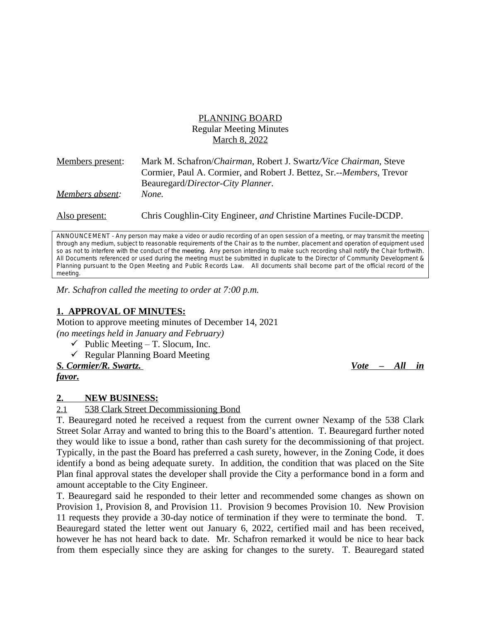## PLANNING BOARD Regular Meeting Minutes March 8, 2022

| <b>Members</b> present: | Mark M. Schafron/Chairman, Robert J. Swartz/Vice Chairman, Steve     |
|-------------------------|----------------------------------------------------------------------|
|                         | Cormier, Paul A. Cormier, and Robert J. Bettez, Sr.--Members, Trevor |
|                         | Beauregard/Director-City Planner.                                    |
| Members absent:         | None.                                                                |
| Also present:           | Chris Coughlin-City Engineer, and Christine Martines Fucile-DCDP.    |

ANNOUNCEMENT - Any person may make a video or audio recording of an open session of a meeting, or may transmit the meeting through any medium, subject to reasonable requirements of the Chair as to the number, placement and operation of equipment used so as not to interfere with the conduct of the meeting. Any person intending to make such recording shall notify the Chair forthwith. All Documents referenced or used during the meeting must be submitted in duplicate to the Director of Community Development & Planning pursuant to the Open Meeting and Public Records Law. All documents shall become part of the official record of the *meeting.*

*Mr. Schafron called the meeting to order at 7:00 p.m.*

# **1. APPROVAL OF MINUTES:**

Motion to approve meeting minutes of December 14, 2021 *(no meetings held in January and February)*

- $\checkmark$  Public Meeting T. Slocum, Inc.
- $\checkmark$  Regular Planning Board Meeting
- *S. Cormier/R. Swartz. Vote – All in*

*favor.*

### **2. NEW BUSINESS:**

2.1 538 Clark Street Decommissioning Bond

T. Beauregard noted he received a request from the current owner Nexamp of the 538 Clark Street Solar Array and wanted to bring this to the Board's attention. T. Beauregard further noted they would like to issue a bond, rather than cash surety for the decommissioning of that project. Typically, in the past the Board has preferred a cash surety, however, in the Zoning Code, it does identify a bond as being adequate surety. In addition, the condition that was placed on the Site Plan final approval states the developer shall provide the City a performance bond in a form and amount acceptable to the City Engineer.

T. Beauregard said he responded to their letter and recommended some changes as shown on Provision 1, Provision 8, and Provision 11. Provision 9 becomes Provision 10. New Provision 11 requests they provide a 30-day notice of termination if they were to terminate the bond. T. Beauregard stated the letter went out January 6, 2022, certified mail and has been received, however he has not heard back to date. Mr. Schafron remarked it would be nice to hear back from them especially since they are asking for changes to the surety. T. Beauregard stated